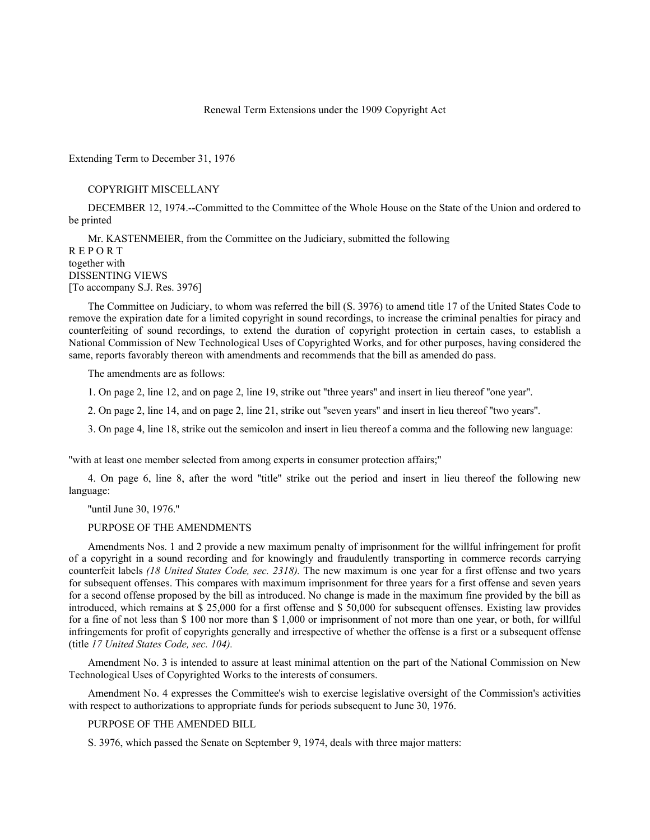# Renewal Term Extensions under the 1909 Copyright Act

Extending Term to December 31, 1976

### COPYRIGHT MISCELLANY

DECEMBER 12, 1974.--Committed to the Committee of the Whole House on the State of the Union and ordered to be printed

Mr. KASTENMEIER, from the Committee on the Judiciary, submitted the following R E P O R T together with DISSENTING VIEWS [To accompany S.J. Res. 3976]

The Committee on Judiciary, to whom was referred the bill (S. 3976) to amend title 17 of the United States Code to remove the expiration date for a limited copyright in sound recordings, to increase the criminal penalties for piracy and counterfeiting of sound recordings, to extend the duration of copyright protection in certain cases, to establish a National Commission of New Technological Uses of Copyrighted Works, and for other purposes, having considered the same, reports favorably thereon with amendments and recommends that the bill as amended do pass.

The amendments are as follows:

1. On page 2, line 12, and on page 2, line 19, strike out ''three years'' and insert in lieu thereof ''one year''.

2. On page 2, line 14, and on page 2, line 21, strike out ''seven years'' and insert in lieu thereof ''two years''.

3. On page 4, line 18, strike out the semicolon and insert in lieu thereof a comma and the following new language:

''with at least one member selected from among experts in consumer protection affairs;''

4. On page 6, line 8, after the word ''title'' strike out the period and insert in lieu thereof the following new language:

''until June 30, 1976.''

### PURPOSE OF THE AMENDMENTS

Amendments Nos. 1 and 2 provide a new maximum penalty of imprisonment for the willful infringement for profit of a copyright in a sound recording and for knowingly and fraudulently transporting in commerce records carrying counterfeit labels *(18 United States Code, sec. 2318).* The new maximum is one year for a first offense and two years for subsequent offenses. This compares with maximum imprisonment for three years for a first offense and seven years for a second offense proposed by the bill as introduced. No change is made in the maximum fine provided by the bill as introduced, which remains at \$ 25,000 for a first offense and \$ 50,000 for subsequent offenses. Existing law provides for a fine of not less than \$ 100 nor more than \$ 1,000 or imprisonment of not more than one year, or both, for willful infringements for profit of copyrights generally and irrespective of whether the offense is a first or a subsequent offense (title *17 United States Code, sec. 104).*

Amendment No. 3 is intended to assure at least minimal attention on the part of the National Commission on New Technological Uses of Copyrighted Works to the interests of consumers.

Amendment No. 4 expresses the Committee's wish to exercise legislative oversight of the Commission's activities with respect to authorizations to appropriate funds for periods subsequent to June 30, 1976.

### PURPOSE OF THE AMENDED BILL

S. 3976, which passed the Senate on September 9, 1974, deals with three major matters: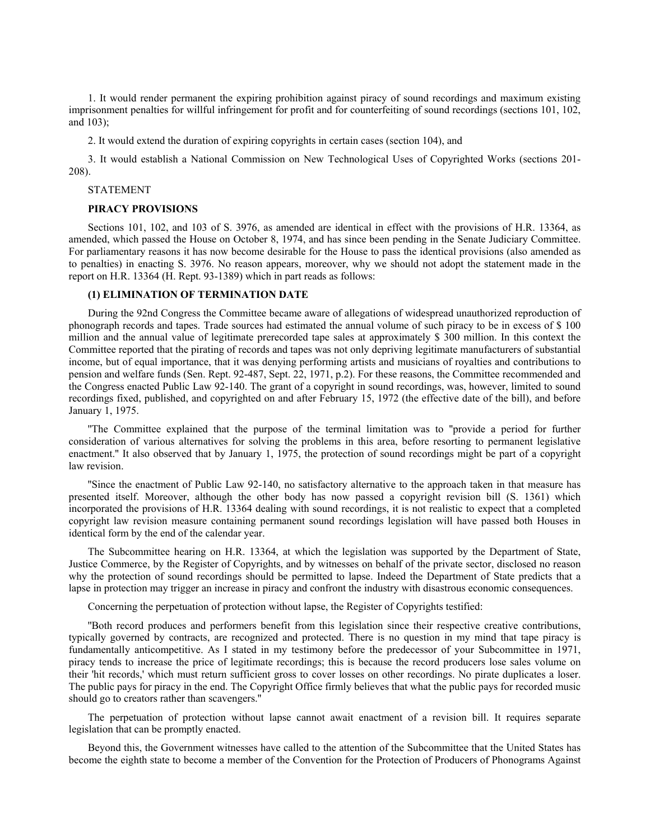1. It would render permanent the expiring prohibition against piracy of sound recordings and maximum existing imprisonment penalties for willful infringement for profit and for counterfeiting of sound recordings (sections 101, 102, and 103);

2. It would extend the duration of expiring copyrights in certain cases (section 104), and

3. It would establish a National Commission on New Technological Uses of Copyrighted Works (sections 201- 208).

#### STATEMENT

# **PIRACY PROVISIONS**

Sections 101, 102, and 103 of S. 3976, as amended are identical in effect with the provisions of H.R. 13364, as amended, which passed the House on October 8, 1974, and has since been pending in the Senate Judiciary Committee. For parliamentary reasons it has now become desirable for the House to pass the identical provisions (also amended as to penalties) in enacting S. 3976. No reason appears, moreover, why we should not adopt the statement made in the report on H.R. 13364 (H. Rept. 93-1389) which in part reads as follows:

# **(1) ELIMINATION OF TERMINATION DATE**

During the 92nd Congress the Committee became aware of allegations of widespread unauthorized reproduction of phonograph records and tapes. Trade sources had estimated the annual volume of such piracy to be in excess of \$ 100 million and the annual value of legitimate prerecorded tape sales at approximately \$ 300 million. In this context the Committee reported that the pirating of records and tapes was not only depriving legitimate manufacturers of substantial income, but of equal importance, that it was denying performing artists and musicians of royalties and contributions to pension and welfare funds (Sen. Rept. 92-487, Sept. 22, 1971, p.2). For these reasons, the Committee recommended and the Congress enacted Public Law 92-140. The grant of a copyright in sound recordings, was, however, limited to sound recordings fixed, published, and copyrighted on and after February 15, 1972 (the effective date of the bill), and before January 1, 1975.

''The Committee explained that the purpose of the terminal limitation was to ''provide a period for further consideration of various alternatives for solving the problems in this area, before resorting to permanent legislative enactment.'' It also observed that by January 1, 1975, the protection of sound recordings might be part of a copyright law revision.

''Since the enactment of Public Law 92-140, no satisfactory alternative to the approach taken in that measure has presented itself. Moreover, although the other body has now passed a copyright revision bill (S. 1361) which incorporated the provisions of H.R. 13364 dealing with sound recordings, it is not realistic to expect that a completed copyright law revision measure containing permanent sound recordings legislation will have passed both Houses in identical form by the end of the calendar year.

The Subcommittee hearing on H.R. 13364, at which the legislation was supported by the Department of State, Justice Commerce, by the Register of Copyrights, and by witnesses on behalf of the private sector, disclosed no reason why the protection of sound recordings should be permitted to lapse. Indeed the Department of State predicts that a lapse in protection may trigger an increase in piracy and confront the industry with disastrous economic consequences.

Concerning the perpetuation of protection without lapse, the Register of Copyrights testified:

''Both record produces and performers benefit from this legislation since their respective creative contributions, typically governed by contracts, are recognized and protected. There is no question in my mind that tape piracy is fundamentally anticompetitive. As I stated in my testimony before the predecessor of your Subcommittee in 1971, piracy tends to increase the price of legitimate recordings; this is because the record producers lose sales volume on their 'hit records,' which must return sufficient gross to cover losses on other recordings. No pirate duplicates a loser. The public pays for piracy in the end. The Copyright Office firmly believes that what the public pays for recorded music should go to creators rather than scavengers.''

The perpetuation of protection without lapse cannot await enactment of a revision bill. It requires separate legislation that can be promptly enacted.

Beyond this, the Government witnesses have called to the attention of the Subcommittee that the United States has become the eighth state to become a member of the Convention for the Protection of Producers of Phonograms Against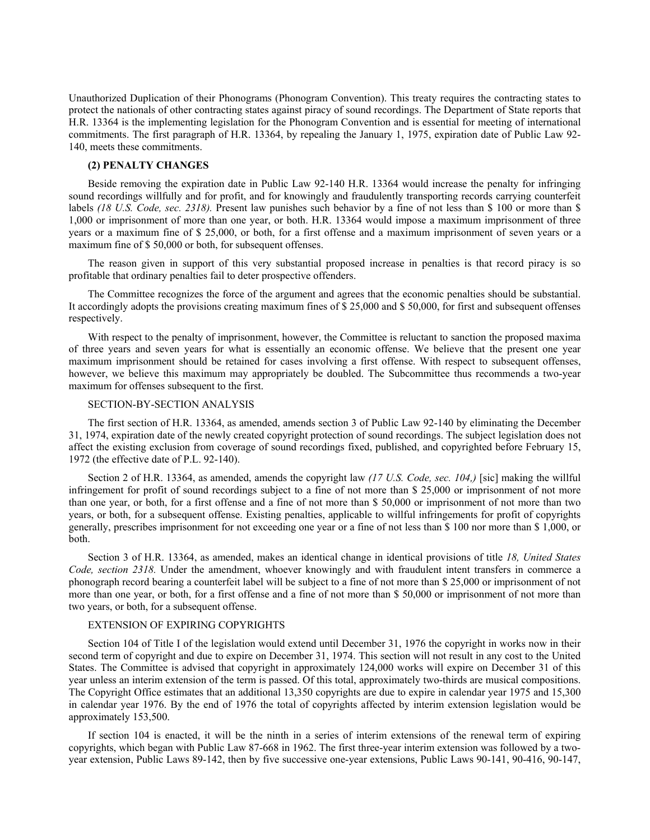Unauthorized Duplication of their Phonograms (Phonogram Convention). This treaty requires the contracting states to protect the nationals of other contracting states against piracy of sound recordings. The Department of State reports that H.R. 13364 is the implementing legislation for the Phonogram Convention and is essential for meeting of international commitments. The first paragraph of H.R. 13364, by repealing the January 1, 1975, expiration date of Public Law 92- 140, meets these commitments.

#### **(2) PENALTY CHANGES**

Beside removing the expiration date in Public Law 92-140 H.R. 13364 would increase the penalty for infringing sound recordings willfully and for profit, and for knowingly and fraudulently transporting records carrying counterfeit labels (18 U.S. Code, sec. 2318). Present law punishes such behavior by a fine of not less than \$ 100 or more than \$ 1,000 or imprisonment of more than one year, or both. H.R. 13364 would impose a maximum imprisonment of three years or a maximum fine of \$ 25,000, or both, for a first offense and a maximum imprisonment of seven years or a maximum fine of \$ 50,000 or both, for subsequent offenses.

The reason given in support of this very substantial proposed increase in penalties is that record piracy is so profitable that ordinary penalties fail to deter prospective offenders.

The Committee recognizes the force of the argument and agrees that the economic penalties should be substantial. It accordingly adopts the provisions creating maximum fines of \$ 25,000 and \$ 50,000, for first and subsequent offenses respectively.

With respect to the penalty of imprisonment, however, the Committee is reluctant to sanction the proposed maxima of three years and seven years for what is essentially an economic offense. We believe that the present one year maximum imprisonment should be retained for cases involving a first offense. With respect to subsequent offenses, however, we believe this maximum may appropriately be doubled. The Subcommittee thus recommends a two-year maximum for offenses subsequent to the first.

# SECTION-BY-SECTION ANALYSIS

The first section of H.R. 13364, as amended, amends section 3 of Public Law 92-140 by eliminating the December 31, 1974, expiration date of the newly created copyright protection of sound recordings. The subject legislation does not affect the existing exclusion from coverage of sound recordings fixed, published, and copyrighted before February 15, 1972 (the effective date of P.L. 92-140).

Section 2 of H.R. 13364, as amended, amends the copyright law *(17 U.S. Code, sec. 104,)* [sic] making the willful infringement for profit of sound recordings subject to a fine of not more than \$ 25,000 or imprisonment of not more than one year, or both, for a first offense and a fine of not more than \$ 50,000 or imprisonment of not more than two years, or both, for a subsequent offense. Existing penalties, applicable to willful infringements for profit of copyrights generally, prescribes imprisonment for not exceeding one year or a fine of not less than \$ 100 nor more than \$ 1,000, or both.

Section 3 of H.R. 13364, as amended, makes an identical change in identical provisions of title *18, United States Code, section 2318.* Under the amendment, whoever knowingly and with fraudulent intent transfers in commerce a phonograph record bearing a counterfeit label will be subject to a fine of not more than \$ 25,000 or imprisonment of not more than one year, or both, for a first offense and a fine of not more than \$ 50,000 or imprisonment of not more than two years, or both, for a subsequent offense.

## EXTENSION OF EXPIRING COPYRIGHTS

Section 104 of Title I of the legislation would extend until December 31, 1976 the copyright in works now in their second term of copyright and due to expire on December 31, 1974. This section will not result in any cost to the United States. The Committee is advised that copyright in approximately 124,000 works will expire on December 31 of this year unless an interim extension of the term is passed. Of this total, approximately two-thirds are musical compositions. The Copyright Office estimates that an additional 13,350 copyrights are due to expire in calendar year 1975 and 15,300 in calendar year 1976. By the end of 1976 the total of copyrights affected by interim extension legislation would be approximately 153,500.

If section 104 is enacted, it will be the ninth in a series of interim extensions of the renewal term of expiring copyrights, which began with Public Law 87-668 in 1962. The first three-year interim extension was followed by a twoyear extension, Public Laws 89-142, then by five successive one-year extensions, Public Laws 90-141, 90-416, 90-147,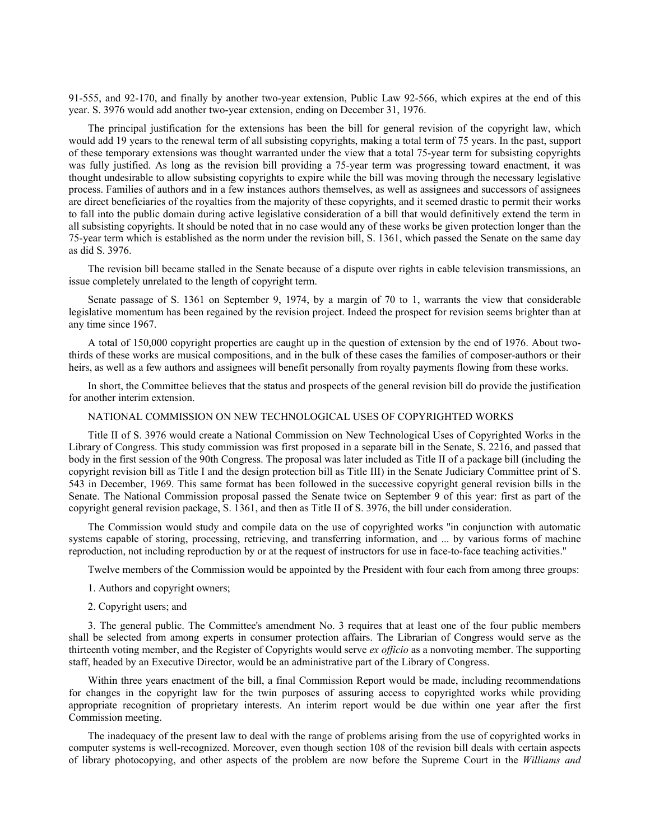91-555, and 92-170, and finally by another two-year extension, Public Law 92-566, which expires at the end of this year. S. 3976 would add another two-year extension, ending on December 31, 1976.

The principal justification for the extensions has been the bill for general revision of the copyright law, which would add 19 years to the renewal term of all subsisting copyrights, making a total term of 75 years. In the past, support of these temporary extensions was thought warranted under the view that a total 75-year term for subsisting copyrights was fully justified. As long as the revision bill providing a 75-year term was progressing toward enactment, it was thought undesirable to allow subsisting copyrights to expire while the bill was moving through the necessary legislative process. Families of authors and in a few instances authors themselves, as well as assignees and successors of assignees are direct beneficiaries of the royalties from the majority of these copyrights, and it seemed drastic to permit their works to fall into the public domain during active legislative consideration of a bill that would definitively extend the term in all subsisting copyrights. It should be noted that in no case would any of these works be given protection longer than the 75-year term which is established as the norm under the revision bill, S. 1361, which passed the Senate on the same day as did S. 3976.

The revision bill became stalled in the Senate because of a dispute over rights in cable television transmissions, an issue completely unrelated to the length of copyright term.

Senate passage of S. 1361 on September 9, 1974, by a margin of 70 to 1, warrants the view that considerable legislative momentum has been regained by the revision project. Indeed the prospect for revision seems brighter than at any time since 1967.

A total of 150,000 copyright properties are caught up in the question of extension by the end of 1976. About twothirds of these works are musical compositions, and in the bulk of these cases the families of composer-authors or their heirs, as well as a few authors and assignees will benefit personally from royalty payments flowing from these works.

In short, the Committee believes that the status and prospects of the general revision bill do provide the justification for another interim extension.

### NATIONAL COMMISSION ON NEW TECHNOLOGICAL USES OF COPYRIGHTED WORKS

Title II of S. 3976 would create a National Commission on New Technological Uses of Copyrighted Works in the Library of Congress. This study commission was first proposed in a separate bill in the Senate, S. 2216, and passed that body in the first session of the 90th Congress. The proposal was later included as Title II of a package bill (including the copyright revision bill as Title I and the design protection bill as Title III) in the Senate Judiciary Committee print of S. 543 in December, 1969. This same format has been followed in the successive copyright general revision bills in the Senate. The National Commission proposal passed the Senate twice on September 9 of this year: first as part of the copyright general revision package, S. 1361, and then as Title II of S. 3976, the bill under consideration.

The Commission would study and compile data on the use of copyrighted works ''in conjunction with automatic systems capable of storing, processing, retrieving, and transferring information, and ... by various forms of machine reproduction, not including reproduction by or at the request of instructors for use in face-to-face teaching activities.''

Twelve members of the Commission would be appointed by the President with four each from among three groups:

- 1. Authors and copyright owners;
- 2. Copyright users; and

3. The general public. The Committee's amendment No. 3 requires that at least one of the four public members shall be selected from among experts in consumer protection affairs. The Librarian of Congress would serve as the thirteenth voting member, and the Register of Copyrights would serve *ex officio* as a nonvoting member. The supporting staff, headed by an Executive Director, would be an administrative part of the Library of Congress.

Within three years enactment of the bill, a final Commission Report would be made, including recommendations for changes in the copyright law for the twin purposes of assuring access to copyrighted works while providing appropriate recognition of proprietary interests. An interim report would be due within one year after the first Commission meeting.

The inadequacy of the present law to deal with the range of problems arising from the use of copyrighted works in computer systems is well-recognized. Moreover, even though section 108 of the revision bill deals with certain aspects of library photocopying, and other aspects of the problem are now before the Supreme Court in the *Williams and*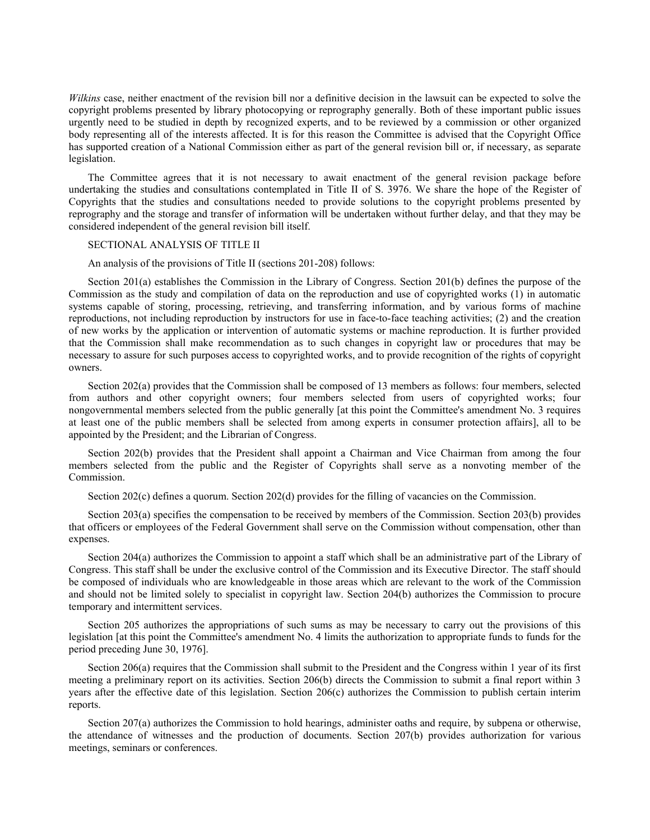*Wilkins* case, neither enactment of the revision bill nor a definitive decision in the lawsuit can be expected to solve the copyright problems presented by library photocopying or reprography generally. Both of these important public issues urgently need to be studied in depth by recognized experts, and to be reviewed by a commission or other organized body representing all of the interests affected. It is for this reason the Committee is advised that the Copyright Office has supported creation of a National Commission either as part of the general revision bill or, if necessary, as separate legislation.

The Committee agrees that it is not necessary to await enactment of the general revision package before undertaking the studies and consultations contemplated in Title II of S. 3976. We share the hope of the Register of Copyrights that the studies and consultations needed to provide solutions to the copyright problems presented by reprography and the storage and transfer of information will be undertaken without further delay, and that they may be considered independent of the general revision bill itself.

# SECTIONAL ANALYSIS OF TITLE II

An analysis of the provisions of Title II (sections 201-208) follows:

Section 201(a) establishes the Commission in the Library of Congress. Section 201(b) defines the purpose of the Commission as the study and compilation of data on the reproduction and use of copyrighted works (1) in automatic systems capable of storing, processing, retrieving, and transferring information, and by various forms of machine reproductions, not including reproduction by instructors for use in face-to-face teaching activities; (2) and the creation of new works by the application or intervention of automatic systems or machine reproduction. It is further provided that the Commission shall make recommendation as to such changes in copyright law or procedures that may be necessary to assure for such purposes access to copyrighted works, and to provide recognition of the rights of copyright owners.

Section 202(a) provides that the Commission shall be composed of 13 members as follows: four members, selected from authors and other copyright owners; four members selected from users of copyrighted works; four nongovernmental members selected from the public generally [at this point the Committee's amendment No. 3 requires at least one of the public members shall be selected from among experts in consumer protection affairs], all to be appointed by the President; and the Librarian of Congress.

Section 202(b) provides that the President shall appoint a Chairman and Vice Chairman from among the four members selected from the public and the Register of Copyrights shall serve as a nonvoting member of the Commission.

Section 202(c) defines a quorum. Section 202(d) provides for the filling of vacancies on the Commission.

Section 203(a) specifies the compensation to be received by members of the Commission. Section 203(b) provides that officers or employees of the Federal Government shall serve on the Commission without compensation, other than expenses.

Section 204(a) authorizes the Commission to appoint a staff which shall be an administrative part of the Library of Congress. This staff shall be under the exclusive control of the Commission and its Executive Director. The staff should be composed of individuals who are knowledgeable in those areas which are relevant to the work of the Commission and should not be limited solely to specialist in copyright law. Section 204(b) authorizes the Commission to procure temporary and intermittent services.

Section 205 authorizes the appropriations of such sums as may be necessary to carry out the provisions of this legislation [at this point the Committee's amendment No. 4 limits the authorization to appropriate funds to funds for the period preceding June 30, 1976].

Section 206(a) requires that the Commission shall submit to the President and the Congress within 1 year of its first meeting a preliminary report on its activities. Section 206(b) directs the Commission to submit a final report within 3 years after the effective date of this legislation. Section 206(c) authorizes the Commission to publish certain interim reports.

Section 207(a) authorizes the Commission to hold hearings, administer oaths and require, by subpena or otherwise, the attendance of witnesses and the production of documents. Section 207(b) provides authorization for various meetings, seminars or conferences.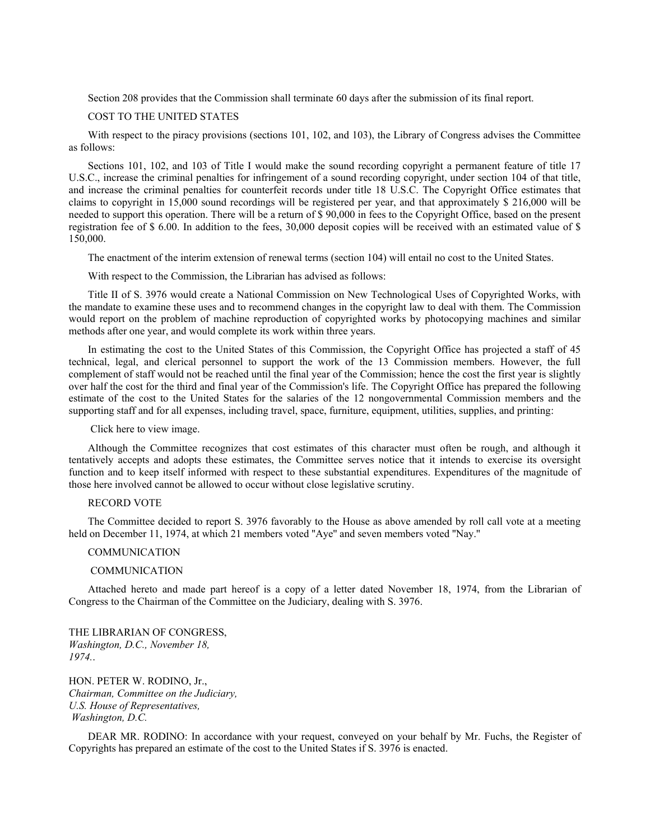Section 208 provides that the Commission shall terminate 60 days after the submission of its final report.

### COST TO THE UNITED STATES

With respect to the piracy provisions (sections 101, 102, and 103), the Library of Congress advises the Committee as follows:

Sections 101, 102, and 103 of Title I would make the sound recording copyright a permanent feature of title 17 U.S.C., increase the criminal penalties for infringement of a sound recording copyright, under section 104 of that title, and increase the criminal penalties for counterfeit records under title 18 U.S.C. The Copyright Office estimates that claims to copyright in 15,000 sound recordings will be registered per year, and that approximately \$ 216,000 will be needed to support this operation. There will be a return of \$ 90,000 in fees to the Copyright Office, based on the present registration fee of \$ 6.00. In addition to the fees, 30,000 deposit copies will be received with an estimated value of \$ 150,000.

The enactment of the interim extension of renewal terms (section 104) will entail no cost to the United States.

With respect to the Commission, the Librarian has advised as follows:

Title II of S. 3976 would create a National Commission on New Technological Uses of Copyrighted Works, with the mandate to examine these uses and to recommend changes in the copyright law to deal with them. The Commission would report on the problem of machine reproduction of copyrighted works by photocopying machines and similar methods after one year, and would complete its work within three years.

In estimating the cost to the United States of this Commission, the Copyright Office has projected a staff of 45 technical, legal, and clerical personnel to support the work of the 13 Commission members. However, the full complement of staff would not be reached until the final year of the Commission; hence the cost the first year is slightly over half the cost for the third and final year of the Commission's life. The Copyright Office has prepared the following estimate of the cost to the United States for the salaries of the 12 nongovernmental Commission members and the supporting staff and for all expenses, including travel, space, furniture, equipment, utilities, supplies, and printing:

#### Click here to view image.

Although the Committee recognizes that cost estimates of this character must often be rough, and although it tentatively accepts and adopts these estimates, the Committee serves notice that it intends to exercise its oversight function and to keep itself informed with respect to these substantial expenditures. Expenditures of the magnitude of those here involved cannot be allowed to occur without close legislative scrutiny.

# RECORD VOTE

The Committee decided to report S. 3976 favorably to the House as above amended by roll call vote at a meeting held on December 11, 1974, at which 21 members voted ''Aye'' and seven members voted ''Nay.''

### COMMUNICATION

#### COMMUNICATION

Attached hereto and made part hereof is a copy of a letter dated November 18, 1974, from the Librarian of Congress to the Chairman of the Committee on the Judiciary, dealing with S. 3976.

THE LIBRARIAN OF CONGRESS, *Washington, D.C., November 18, 1974.*.

HON. PETER W. RODINO, Jr., *Chairman, Committee on the Judiciary, U.S. House of Representatives, Washington, D.C.*

DEAR MR. RODINO: In accordance with your request, conveyed on your behalf by Mr. Fuchs, the Register of Copyrights has prepared an estimate of the cost to the United States if S. 3976 is enacted.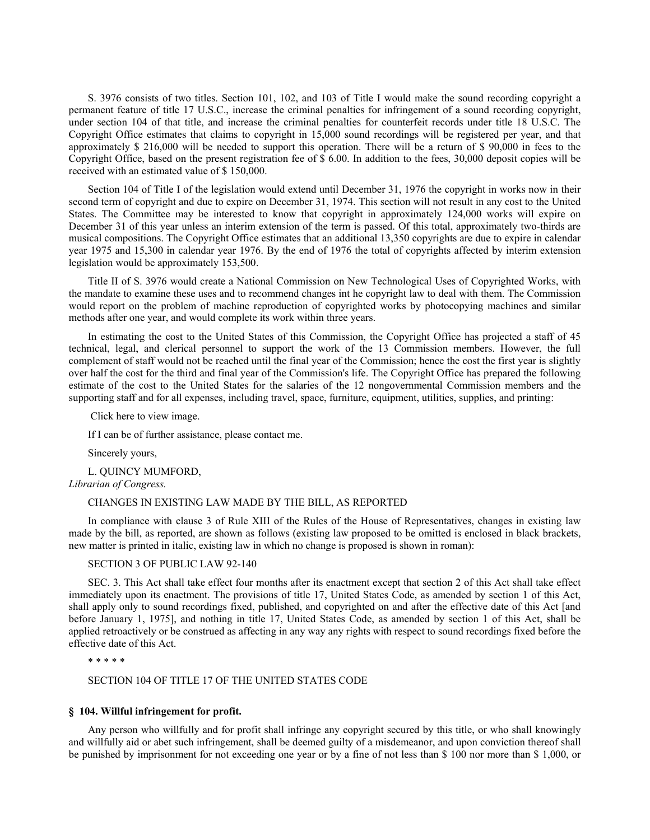S. 3976 consists of two titles. Section 101, 102, and 103 of Title I would make the sound recording copyright a permanent feature of title 17 U.S.C., increase the criminal penalties for infringement of a sound recording copyright, under section 104 of that title, and increase the criminal penalties for counterfeit records under title 18 U.S.C. The Copyright Office estimates that claims to copyright in 15,000 sound recordings will be registered per year, and that approximately \$ 216,000 will be needed to support this operation. There will be a return of \$ 90,000 in fees to the Copyright Office, based on the present registration fee of  $\frac{6}{9}$  6.00. In addition to the fees, 30,000 deposit copies will be received with an estimated value of \$ 150,000.

Section 104 of Title I of the legislation would extend until December 31, 1976 the copyright in works now in their second term of copyright and due to expire on December 31, 1974. This section will not result in any cost to the United States. The Committee may be interested to know that copyright in approximately 124,000 works will expire on December 31 of this year unless an interim extension of the term is passed. Of this total, approximately two-thirds are musical compositions. The Copyright Office estimates that an additional 13,350 copyrights are due to expire in calendar year 1975 and 15,300 in calendar year 1976. By the end of 1976 the total of copyrights affected by interim extension legislation would be approximately 153,500.

Title II of S. 3976 would create a National Commission on New Technological Uses of Copyrighted Works, with the mandate to examine these uses and to recommend changes int he copyright law to deal with them. The Commission would report on the problem of machine reproduction of copyrighted works by photocopying machines and similar methods after one year, and would complete its work within three years.

In estimating the cost to the United States of this Commission, the Copyright Office has projected a staff of 45 technical, legal, and clerical personnel to support the work of the 13 Commission members. However, the full complement of staff would not be reached until the final year of the Commission; hence the cost the first year is slightly over half the cost for the third and final year of the Commission's life. The Copyright Office has prepared the following estimate of the cost to the United States for the salaries of the 12 nongovernmental Commission members and the supporting staff and for all expenses, including travel, space, furniture, equipment, utilities, supplies, and printing:

Click here to view image.

If I can be of further assistance, please contact me.

Sincerely yours,

L. QUINCY MUMFORD,

*Librarian of Congress.*

# CHANGES IN EXISTING LAW MADE BY THE BILL, AS REPORTED

In compliance with clause 3 of Rule XIII of the Rules of the House of Representatives, changes in existing law made by the bill, as reported, are shown as follows (existing law proposed to be omitted is enclosed in black brackets, new matter is printed in italic, existing law in which no change is proposed is shown in roman):

### SECTION 3 OF PUBLIC LAW 92-140

SEC. 3. This Act shall take effect four months after its enactment except that section 2 of this Act shall take effect immediately upon its enactment. The provisions of title 17, United States Code, as amended by section 1 of this Act, shall apply only to sound recordings fixed, published, and copyrighted on and after the effective date of this Act [and before January 1, 1975], and nothing in title 17, United States Code, as amended by section 1 of this Act, shall be applied retroactively or be construed as affecting in any way any rights with respect to sound recordings fixed before the effective date of this Act.

\* \* \* \* \*

SECTION 104 OF TITLE 17 OF THE UNITED STATES CODE

## **§ 104. Willful infringement for profit.**

Any person who willfully and for profit shall infringe any copyright secured by this title, or who shall knowingly and willfully aid or abet such infringement, shall be deemed guilty of a misdemeanor, and upon conviction thereof shall be punished by imprisonment for not exceeding one year or by a fine of not less than \$ 100 nor more than \$ 1,000, or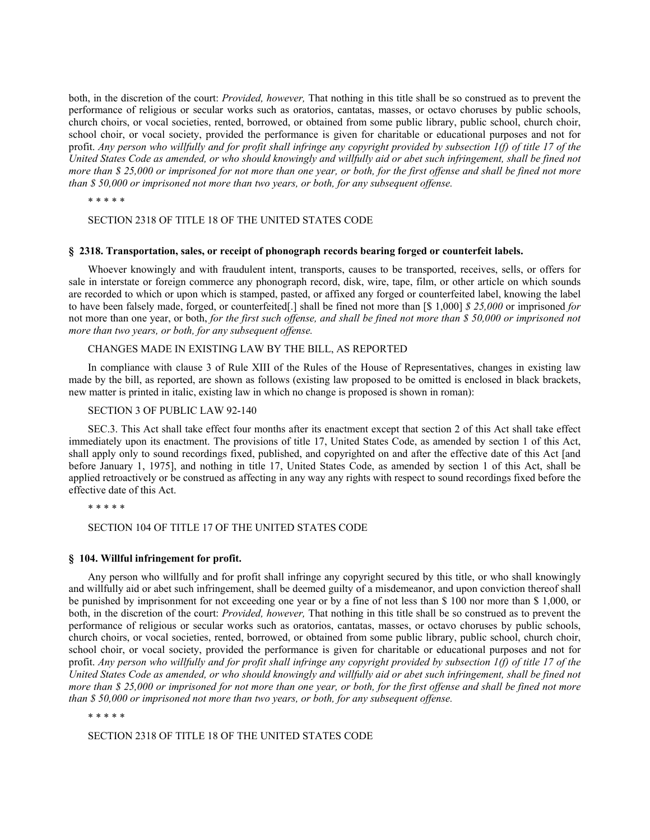both, in the discretion of the court: *Provided, however,* That nothing in this title shall be so construed as to prevent the performance of religious or secular works such as oratorios, cantatas, masses, or octavo choruses by public schools, church choirs, or vocal societies, rented, borrowed, or obtained from some public library, public school, church choir, school choir, or vocal society, provided the performance is given for charitable or educational purposes and not for profit. *Any person who willfully and for profit shall infringe any copyright provided by subsection 1(f) of title 17 of the United States Code as amended, or who should knowingly and willfully aid or abet such infringement, shall be fined not more than \$ 25,000 or imprisoned for not more than one year, or both, for the first offense and shall be fined not more than \$ 50,000 or imprisoned not more than two years, or both, for any subsequent offense.*

\* \* \* \* \*

#### SECTION 2318 OF TITLE 18 OF THE UNITED STATES CODE

### **§ 2318. Transportation, sales, or receipt of phonograph records bearing forged or counterfeit labels.**

Whoever knowingly and with fraudulent intent, transports, causes to be transported, receives, sells, or offers for sale in interstate or foreign commerce any phonograph record, disk, wire, tape, film, or other article on which sounds are recorded to which or upon which is stamped, pasted, or affixed any forged or counterfeited label, knowing the label to have been falsely made, forged, or counterfeited[.] shall be fined not more than [\$ 1,000] *\$ 25,000* or imprisoned *for* not more than one year, or both, *for the first such offense, and shall be fined not more than \$ 50,000 or imprisoned not more than two years, or both, for any subsequent offense.*

# CHANGES MADE IN EXISTING LAW BY THE BILL, AS REPORTED

In compliance with clause 3 of Rule XIII of the Rules of the House of Representatives, changes in existing law made by the bill, as reported, are shown as follows (existing law proposed to be omitted is enclosed in black brackets, new matter is printed in italic, existing law in which no change is proposed is shown in roman):

#### SECTION 3 OF PUBLIC LAW 92-140

SEC.3. This Act shall take effect four months after its enactment except that section 2 of this Act shall take effect immediately upon its enactment. The provisions of title 17, United States Code, as amended by section 1 of this Act, shall apply only to sound recordings fixed, published, and copyrighted on and after the effective date of this Act [and before January 1, 1975], and nothing in title 17, United States Code, as amended by section 1 of this Act, shall be applied retroactively or be construed as affecting in any way any rights with respect to sound recordings fixed before the effective date of this Act.

\* \* \* \* \*

SECTION 104 OF TITLE 17 OF THE UNITED STATES CODE

#### **§ 104. Willful infringement for profit.**

Any person who willfully and for profit shall infringe any copyright secured by this title, or who shall knowingly and willfully aid or abet such infringement, shall be deemed guilty of a misdemeanor, and upon conviction thereof shall be punished by imprisonment for not exceeding one year or by a fine of not less than \$ 100 nor more than \$ 1,000, or both, in the discretion of the court: *Provided, however,* That nothing in this title shall be so construed as to prevent the performance of religious or secular works such as oratorios, cantatas, masses, or octavo choruses by public schools, church choirs, or vocal societies, rented, borrowed, or obtained from some public library, public school, church choir, school choir, or vocal society, provided the performance is given for charitable or educational purposes and not for profit. *Any person who willfully and for profit shall infringe any copyright provided by subsection 1(f) of title 17 of the United States Code as amended, or who should knowingly and willfully aid or abet such infringement, shall be fined not more than \$ 25,000 or imprisoned for not more than one year, or both, for the first offense and shall be fined not more than \$ 50,000 or imprisoned not more than two years, or both, for any subsequent offense.*

\* \* \* \* \*

SECTION 2318 OF TITLE 18 OF THE UNITED STATES CODE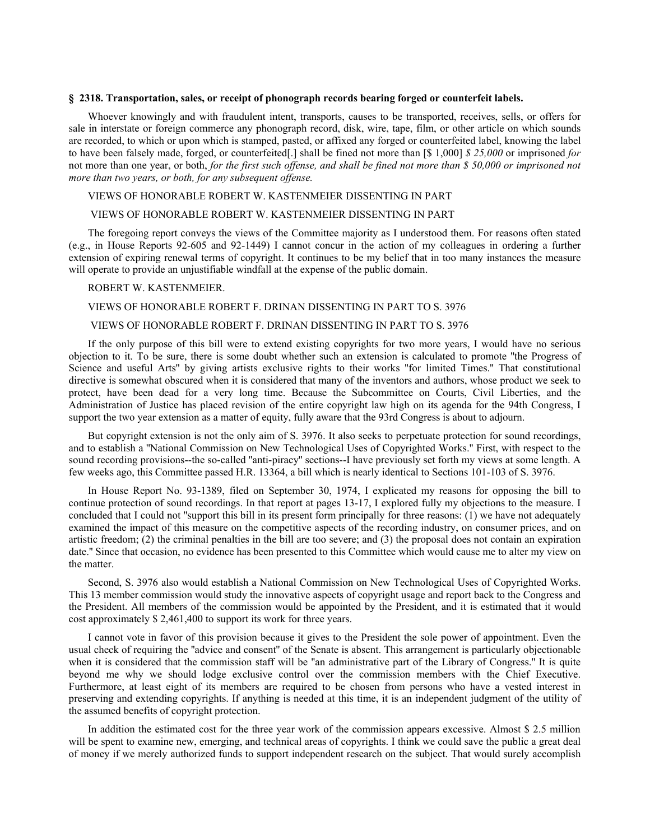### **§ 2318. Transportation, sales, or receipt of phonograph records bearing forged or counterfeit labels.**

Whoever knowingly and with fraudulent intent, transports, causes to be transported, receives, sells, or offers for sale in interstate or foreign commerce any phonograph record, disk, wire, tape, film, or other article on which sounds are recorded, to which or upon which is stamped, pasted, or affixed any forged or counterfeited label, knowing the label to have been falsely made, forged, or counterfeited[.] shall be fined not more than [\$ 1,000] *\$ 25,000* or imprisoned *for* not more than one year, or both, *for the first such offense, and shall be fined not more than \$ 50,000 or imprisoned not more than two years, or both, for any subsequent offense.*

## VIEWS OF HONORABLE ROBERT W. KASTENMEIER DISSENTING IN PART

# VIEWS OF HONORABLE ROBERT W. KASTENMEIER DISSENTING IN PART

The foregoing report conveys the views of the Committee majority as I understood them. For reasons often stated (e.g., in House Reports 92-605 and 92-1449) I cannot concur in the action of my colleagues in ordering a further extension of expiring renewal terms of copyright. It continues to be my belief that in too many instances the measure will operate to provide an unjustifiable windfall at the expense of the public domain.

#### ROBERT W. KASTENMEIER.

### VIEWS OF HONORABLE ROBERT F. DRINAN DISSENTING IN PART TO S. 3976

#### VIEWS OF HONORABLE ROBERT F. DRINAN DISSENTING IN PART TO S. 3976

If the only purpose of this bill were to extend existing copyrights for two more years, I would have no serious objection to it. To be sure, there is some doubt whether such an extension is calculated to promote ''the Progress of Science and useful Arts'' by giving artists exclusive rights to their works ''for limited Times.'' That constitutional directive is somewhat obscured when it is considered that many of the inventors and authors, whose product we seek to protect, have been dead for a very long time. Because the Subcommittee on Courts, Civil Liberties, and the Administration of Justice has placed revision of the entire copyright law high on its agenda for the 94th Congress, I support the two year extension as a matter of equity, fully aware that the 93rd Congress is about to adjourn.

But copyright extension is not the only aim of S. 3976. It also seeks to perpetuate protection for sound recordings, and to establish a ''National Commission on New Technological Uses of Copyrighted Works.'' First, with respect to the sound recording provisions--the so-called ''anti-piracy'' sections--I have previously set forth my views at some length. A few weeks ago, this Committee passed H.R. 13364, a bill which is nearly identical to Sections 101-103 of S. 3976.

In House Report No. 93-1389, filed on September 30, 1974, I explicated my reasons for opposing the bill to continue protection of sound recordings. In that report at pages 13-17, I explored fully my objections to the measure. I concluded that I could not "support this bill in its present form principally for three reasons:  $(1)$  we have not adequately examined the impact of this measure on the competitive aspects of the recording industry, on consumer prices, and on artistic freedom; (2) the criminal penalties in the bill are too severe; and (3) the proposal does not contain an expiration date.'' Since that occasion, no evidence has been presented to this Committee which would cause me to alter my view on the matter.

Second, S. 3976 also would establish a National Commission on New Technological Uses of Copyrighted Works. This 13 member commission would study the innovative aspects of copyright usage and report back to the Congress and the President. All members of the commission would be appointed by the President, and it is estimated that it would cost approximately \$ 2,461,400 to support its work for three years.

I cannot vote in favor of this provision because it gives to the President the sole power of appointment. Even the usual check of requiring the ''advice and consent'' of the Senate is absent. This arrangement is particularly objectionable when it is considered that the commission staff will be "an administrative part of the Library of Congress." It is quite beyond me why we should lodge exclusive control over the commission members with the Chief Executive. Furthermore, at least eight of its members are required to be chosen from persons who have a vested interest in preserving and extending copyrights. If anything is needed at this time, it is an independent judgment of the utility of the assumed benefits of copyright protection.

In addition the estimated cost for the three year work of the commission appears excessive. Almost \$ 2.5 million will be spent to examine new, emerging, and technical areas of copyrights. I think we could save the public a great deal of money if we merely authorized funds to support independent research on the subject. That would surely accomplish